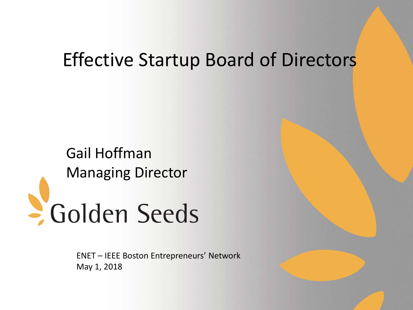# Effective Startup Board of Directors

Gail Hoffman Managing Director - Golden Seeds

> ENET – IEEE Boston Entrepreneurs' Network May 1, 2018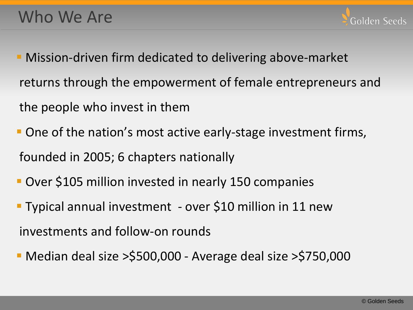- Mission-driven firm dedicated to delivering above-market returns through the empowerment of female entrepreneurs and the people who invest in them
- **One of the nation's most active early-stage investment firms,** founded in 2005; 6 chapters nationally
- Over \$105 million invested in nearly 150 companies
- Typical annual investment over \$10 million in 11 new investments and follow-on rounds
- Median deal size >\$500,000 Average deal size >\$750,000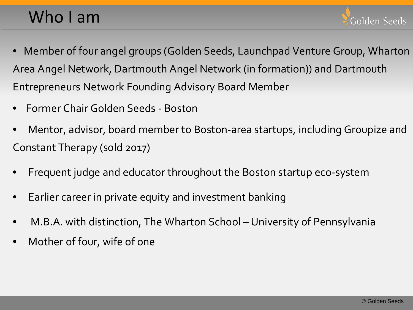# Who I am

- Member of four angel groups (Golden Seeds, Launchpad Venture Group, Wharton Area Angel Network, Dartmouth Angel Network (in formation)) and Dartmouth Entrepreneurs Network Founding Advisory Board Member
- Former Chair Golden Seeds Boston
- Mentor, advisor, board member to Boston-area startups, including Groupize and Constant Therapy (sold 2017)
- Frequent judge and educator throughout the Boston startup eco-system
- Earlier career in private equity and investment banking
- M.B.A. with distinction, The Wharton School University of Pennsylvania
- Mother of four, wife of one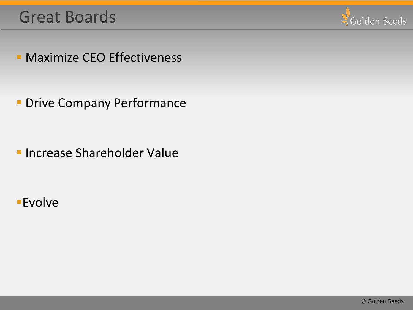#### Great Boards



**Maximize CEO Effectiveness** 

**Drive Company Performance** 

**Increase Shareholder Value** 

**Evolve**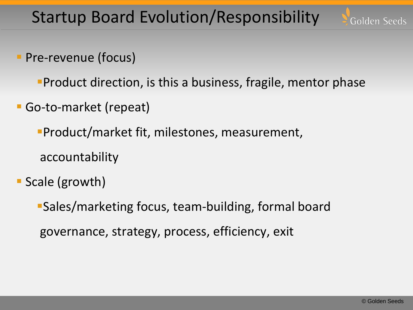Startup Board Evolution/Responsibility



- **Pre-revenue (focus)** 
	- **Product direction, is this a business, fragile, mentor phase**
- Go-to-market (repeat)
	- Product/market fit, milestones, measurement,
	- accountability
- Scale (growth)
	- Sales/marketing focus, team-building, formal board governance, strategy, process, efficiency, exit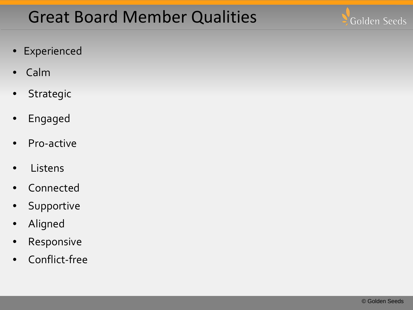# Great Board Member Qualities



- Experienced
- Calm
- Strategic
- Engaged
- Pro-active
- Listens
- **Connected**
- Supportive
- Aligned
- Responsive
- Conflict-free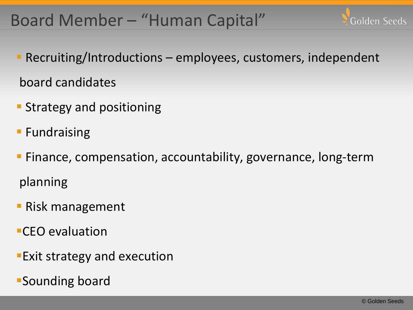## Board Member – "Human Capital"



- **Strategy and positioning**
- **Fundraising**
- Finance, compensation, accountability, governance, long-term planning
- **Risk management**
- CEO evaluation
- **Exit strategy and execution**
- Sounding board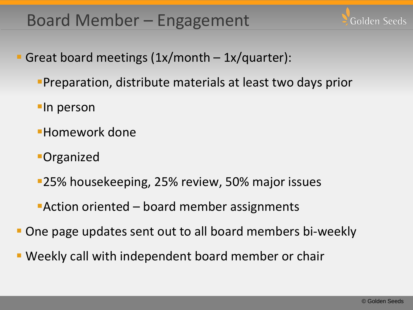# Board Member – Engagement

Great board meetings  $(1x/month - 1x/quarter)$ :

- Preparation, distribute materials at least two days prior
- **-In person**
- Homework done
- **-Organized**
- 25% housekeeping, 25% review, 50% major issues
- Action oriented board member assignments
- One page updates sent out to all board members bi-weekly
- Weekly call with independent board member or chair